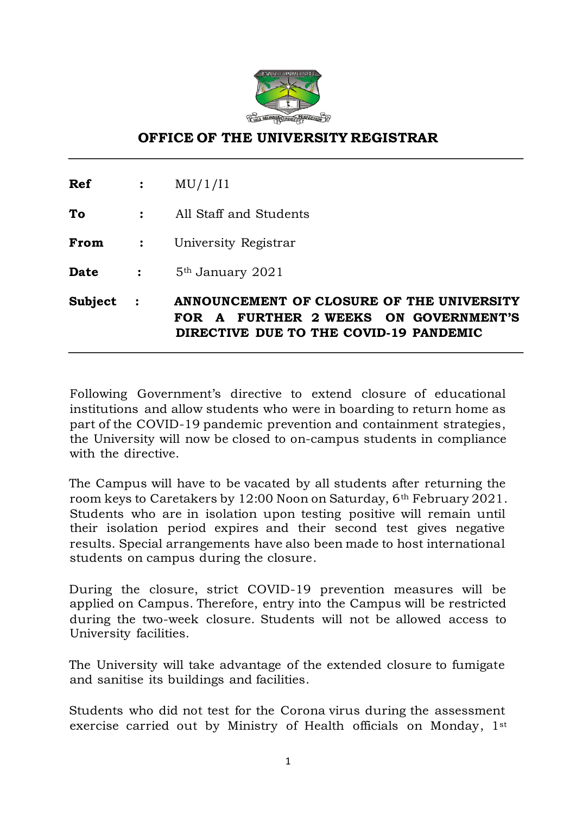

## **OFFICE OF THE UNIVERSITY REGISTRAR**

**Ref :** MU/1/I1

**To :** All Staff and Students

**From :** University Registrar

**Date** : 5<sup>th</sup> January 2021

**Subject : ANNOUNCEMENT OF CLOSURE OF THE UNIVERSITY FOR A FURTHER 2 WEEKS ON GOVERNMENT'S DIRECTIVE DUE TO THE COVID-19 PANDEMIC** 

Following Government's directive to extend closure of educational institutions and allow students who were in boarding to return home as part of the COVID-19 pandemic prevention and containment strategies, the University will now be closed to on-campus students in compliance with the directive.

The Campus will have to be vacated by all students after returning the room keys to Caretakers by 12:00 Noon on Saturday, 6th February 2021. Students who are in isolation upon testing positive will remain until their isolation period expires and their second test gives negative results. Special arrangements have also been made to host international students on campus during the closure.

During the closure, strict COVID-19 prevention measures will be applied on Campus. Therefore, entry into the Campus will be restricted during the two-week closure. Students will not be allowed access to University facilities.

The University will take advantage of the extended closure to fumigate and sanitise its buildings and facilities.

Students who did not test for the Corona virus during the assessment exercise carried out by Ministry of Health officials on Monday, 1st